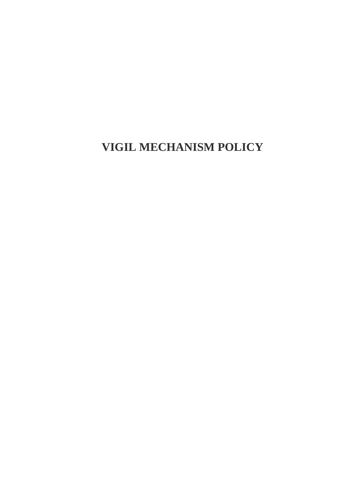**VIGIL MECHANISM POLICY**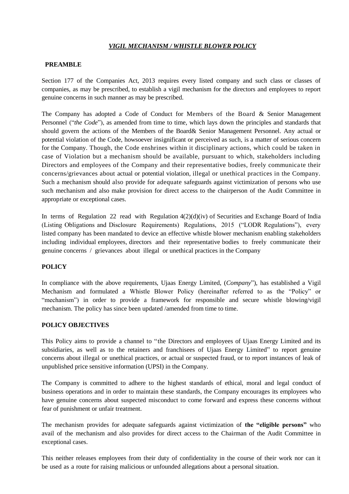# *VIGIL MECHANISM / WHISTLE BLOWER POLICY*

### **PREAMBLE**

Section 177 of the Companies Act, 2013 requires every listed company and such class or classes of companies, as may be prescribed, to establish a vigil mechanism for the directors and employees to report genuine concerns in such manner as may be prescribed.

The Company has adopted a Code of Conduct for Members of the Board & Senior Management Personnel ("*the Code*"), as amended from time to time, which lays down the principles and standards that should govern the actions of the Members of the Board& Senior Management Personnel. Any actual or potential violation of the Code, howsoever insignificant or perceived as such, is a matter of serious concern for the Company. Though, the Code enshrines within it disciplinary actions, which could be taken in case of Violation but a mechanism should be available, pursuant to which, stakeholders including Directors and employees of the Company and their representative bodies, freely communica te their concerns/grievances about actual or potential violation, illegal or unethical practices in the Company. Such a mechanism should also provide for adequate safeguards against victimization of persons who use such mechanism and also make provision for direct access to the chairperson of the Audit Committee in appropriate or exceptional cases.

In terms of Regulation 22 read with Regulation  $4(2)(d)(iv)$  of Securities and Exchange Board of India (Listing Obligations and Disclosure Requirements) Regulations, 2015 ("LODR Regulations"), every listed company has been mandated to device an effective whistle blower mechanism enabling stakeholders including individual employees, directors and their representative bodies to freely communicate their genuine concerns / grievances about illegal or unethical practices in the Company

## **POLICY**

In compliance with the above requirements, Ujaas Energy Limited, (*Company*"), has established a Vigil Mechanism and formulated a Whistle Blower Policy (hereinafter referred to as the "Policy" or "mechanism") in order to provide a framework for responsible and secure whistle blowing/vigil mechanism. The policy has since been updated /amended from time to time.

#### **POLICY OBJECTIVES**

This Policy aims to provide a channel to "the Directors and employees of Ujaas Energy Limited and its subsidiaries, as well as to the retainers and franchisees of Ujaas Energy Limited" to report genuine concerns about illegal or unethical practices, or actual or suspected fraud, or to report instances of leak of unpublished price sensitive information (UPSI) in the Company.

The Company is committed to adhere to the highest standards of ethical, moral and legal conduct of business operations and in order to maintain these standards, the Company encourages its employees who have genuine concerns about suspected misconduct to come forward and express these concerns without fear of punishment or unfair treatment.

The mechanism provides for adequate safeguards against victimization of **the "eligible persons"** who avail of the mechanism and also provides for direct access to the Chairman of the Audit Committee in exceptional cases.

This neither releases employees from their duty of confidentiality in the course of their work nor can it be used as a route for raising malicious or unfounded allegations about a personal situation.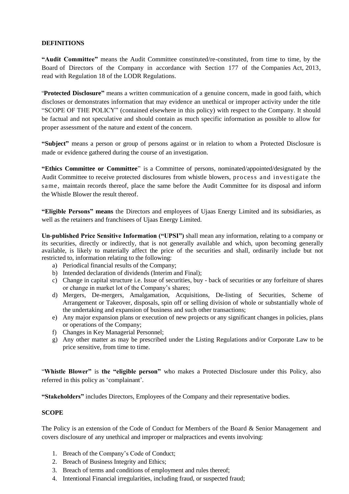## **DEFINITIONS**

**"Audit Committee"** means the Audit Committee constituted/re-constituted, from time to time, by the Board of Directors of the Company in accordance with Section 177 of the Companies Act, 2013, read with Regulation 18 of the LODR Regulations.

"**Protected Disclosure"** means a written communication of a genuine concern, made in good faith, which discloses or demonstrates information that may evidence an unethical or improper activity under the title "SCOPE OF THE POLICY" (contained elsewhere in this policy) with respect to the Company. It should be factual and not speculative and should contain as much specific information as possible to allow for proper assessment of the nature and extent of the concern.

**"Subject"** means a person or group of persons against or in relation to whom a Protected Disclosure is made or evidence gathered during the course of an investigation.

**"Ethics Committee or Committee**" is a Committee of persons, nominated/appointed/designated by the Audit Committee to receive protected disclosures from whistle blowers, process and investigate the same, maintain records thereof, place the same before the Audit Committee for its disposal and inform the Whistle Blower the result thereof.

**"Eligible Persons" means** the Directors and employees of Ujaas Energy Limited and its subsidiaries, as well as the retainers and franchisees of Ujaas Energy Limited.

**Un-published Price Sensitive Information ("UPSI")** shall mean any information, relating to a company or its securities, directly or indirectly, that is not generally available and which, upon becoming generally available, is likely to materially affect the price of the securities and shall, ordinarily include but not restricted to, information relating to the following:

- a) Periodical financial results of the Company;
- b) Intended declaration of dividends (Interim and Final);
- c) Change in capital structure i.e. Issue of securities, buy back of securities or any forfeiture of shares or change in market lot of the Company's shares;
- d) Mergers, De-mergers, Amalgamation, Acquisitions, De-listing of Securities, Scheme of Arrangement or Takeover, disposals, spin off or selling division of whole or substantially whole of the undertaking and expansion of business and such other transactions;
- e) Any major expansion plans or execution of new projects or any significant changes in policies, plans or operations of the Company;
- f) Changes in Key Managerial Personnel;
- g) Any other matter as may be prescribed under the Listing Regulations and/or Corporate Law to be price sensitive, from time to time.

"**Whistle Blower"** is **the "eligible person"** who makes a Protected Disclosure under this Policy, also referred in this policy as 'complainant'.

**"Stakeholders"** includes Directors, Employees of the Company and their representative bodies.

#### **SCOPE**

The Policy is an extension of the Code of Conduct for Members of the Board & Senior Management and covers disclosure of any unethical and improper or malpractices and events involving:

- 1. Breach of the Company's Code of Conduct;
- 2. Breach of Business Integrity and Ethics;
- 3. Breach of terms and conditions of employment and rules thereof;
- 4. Intentional Financial irregularities, including fraud, or suspected fraud;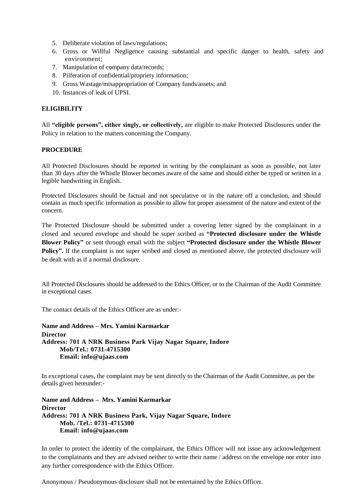- 5. Deliberate violation of laws/regulations;
- 6. Gross or Willful Negligence causing substantial and specific danger to health, safety and environment;
- 7. Manipulation of company data/records;
- 8. Pilferation of confidential/propriety information;
- 9. Gross Wastage/misappropriation of Company funds/assets; and
- 10. Instances of leak of UPSI.

## **ELIGIBILITY**

All **"eligible persons", either singly, or collectively,** are eligible to make Protected Disclosures under the Policy in relation to the matters concerning the Company.

## **PROCEDURE**

All Protected Disclosures should be reported in writing by the complainant as soon as possible, not later than 30 days after the Whistle Blower becomes aware of the same and should either be typed or written in a legible handwriting in English.

Protected Disclosures should be factual and not speculative or in the nature off a conclusion, and should contain as much specific information as possible to allow for proper assessment of the nature and extent of the concern.

The Protected Disclosure should be submitted under a covering letter signed by the complainant in a closed and secured envelope and should be super scribed as **"Protected disclosure under the Whistle Blower Policy"** or sent through email with the subject **"Protected disclosure under the Whistle Blower** Policy". If the complaint is not super scribed and closed as mentioned above, the protected disclosure will be dealt with as if a normal disclosure.

All Protected Disclosures should be addressed to the Ethics Officer, or to the Chairman of the Audit Committee in exceptional cases.

The contact details of the Ethics Officer are as under:-

**Name and Address – Mrs. Yamini Karmarkar Director Address: 701 A NRK Business Park Vijay Nagar Square, Indore Mob/Tel.: 0731-4715300 Email: info@ujaas.com**

In exceptional cases, the complaint may be sent directly to the Chairman of the Audit Committee, as per the details given hereunder:-

**Name and Address – Mrs. Yamini Karmarkar Director Address: 701 A NRK Business Park, Vijay Nagar Square, Indore Mob. /Tel.: 0731-4715300 Email: info@ujaas.com**

In order to protect the identity of the complainant, the Ethics Officer will not issue any acknowledgement to the complainants and they are advised neither to write their name / address on the envelope nor enter into any further correspondence with the Ethics Officer.

Anonymous / Pseudonymous disclosure shall not be entertained by the Ethics Officer.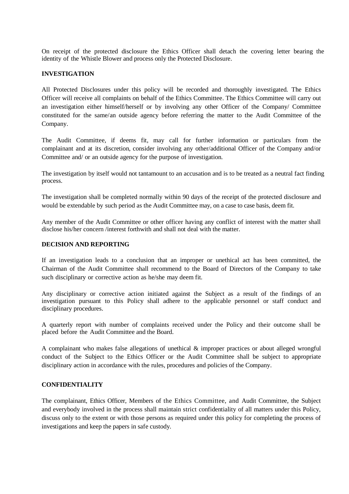On receipt of the protected disclosure the Ethics Officer shall detach the covering letter bearing the identity of the Whistle Blower and process only the Protected Disclosure.

#### **INVESTIGATION**

All Protected Disclosures under this policy will be recorded and thoroughly investigated. The Ethics Officer will receive all complaints on behalf of the Ethics Committee. The Ethics Committee will carry out an investigation either himself/herself or by involving any other Officer of the Company/ Committee constituted for the same/an outside agency before referring the matter to the Audit Committee of the Company.

The Audit Committee, if deems fit, may call for further information or particulars from the complainant and at its discretion, consider involving any other/additional Officer of the Company and/or Committee and/ or an outside agency for the purpose of investigation.

The investigation by itself would not tantamount to an accusation and is to be treated as a neutral fact finding process.

The investigation shall be completed normally within 90 days of the receipt of the protected disclosure and would be extendable by such period as the Audit Committee may, on a case to case basis, deem fit.

Any member of the Audit Committee or other officer having any conflict of interest with the matter shall disclose his/her concern /interest forthwith and shall not deal with the matter.

#### **DECISION AND REPORTING**

If an investigation leads to a conclusion that an improper or unethical act has been committed, the Chairman of the Audit Committee shall recommend to the Board of Directors of the Company to take such disciplinary or corrective action as he/she may deem fit.

Any disciplinary or corrective action initiated against the Subject as a result of the findings of an investigation pursuant to this Policy shall adhere to the applicable personnel or staff conduct and disciplinary procedures.

A quarterly report with number of complaints received under the Policy and their outcome shall be placed before the Audit Committee and the Board.

A complainant who makes false allegations of unethical & improper practices or about alleged wrongful conduct of the Subject to the Ethics Officer or the Audit Committee shall be subject to appropriate disciplinary action in accordance with the rules, procedures and policies of the Company.

#### **CONFIDENTIALITY**

The complainant, Ethics Officer, Members of the Ethics Committee, and Audit Committee, the Subject and everybody involved in the process shall maintain strict confidentiality of all matters under this Policy, discuss only to the extent or with those persons as required under this policy for completing the process of investigations and keep the papers in safe custody.